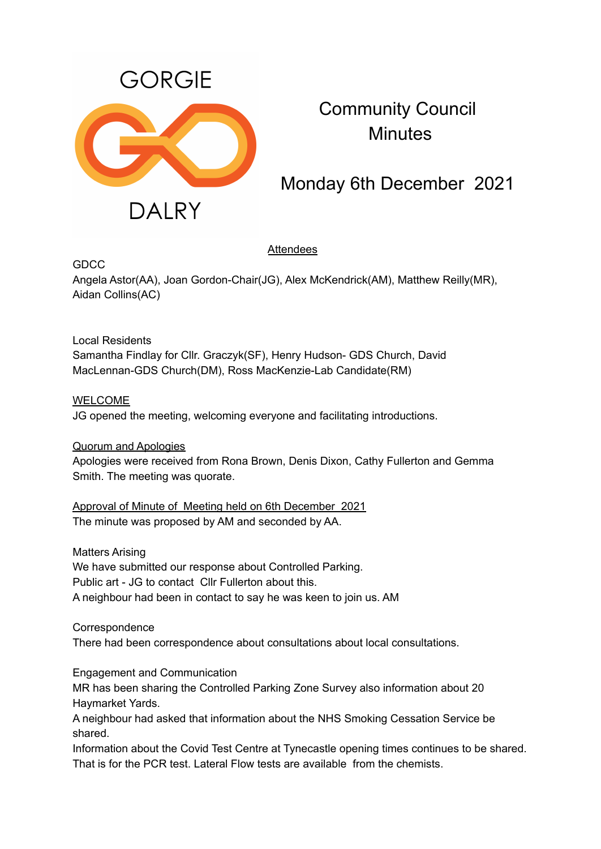

Community Council **Minutes** 

# Monday 6th December 2021

# Attendees

GDCC

Angela Astor(AA), Joan Gordon-Chair(JG), Alex McKendrick(AM), Matthew Reilly(MR), Aidan Collins(AC)

## Local Residents Samantha Findlay for Cllr. Graczyk(SF), Henry Hudson- GDS Church, David MacLennan-GDS Church(DM), Ross MacKenzie-Lab Candidate(RM)

WELCOME

JG opened the meeting, welcoming everyone and facilitating introductions.

Quorum and Apologies

Apologies were received from Rona Brown, Denis Dixon, Cathy Fullerton and Gemma Smith. The meeting was quorate.

Approval of Minute of Meeting held on 6th December 2021 The minute was proposed by AM and seconded by AA.

Matters Arising We have submitted our response about Controlled Parking. Public art - JG to contact Cllr Fullerton about this. A neighbour had been in contact to say he was keen to join us. AM

**Correspondence** There had been correspondence about consultations about local consultations.

Engagement and Communication

MR has been sharing the Controlled Parking Zone Survey also information about 20 Haymarket Yards.

A neighbour had asked that information about the NHS Smoking Cessation Service be shared.

Information about the Covid Test Centre at Tynecastle opening times continues to be shared. That is for the PCR test. Lateral Flow tests are available from the chemists.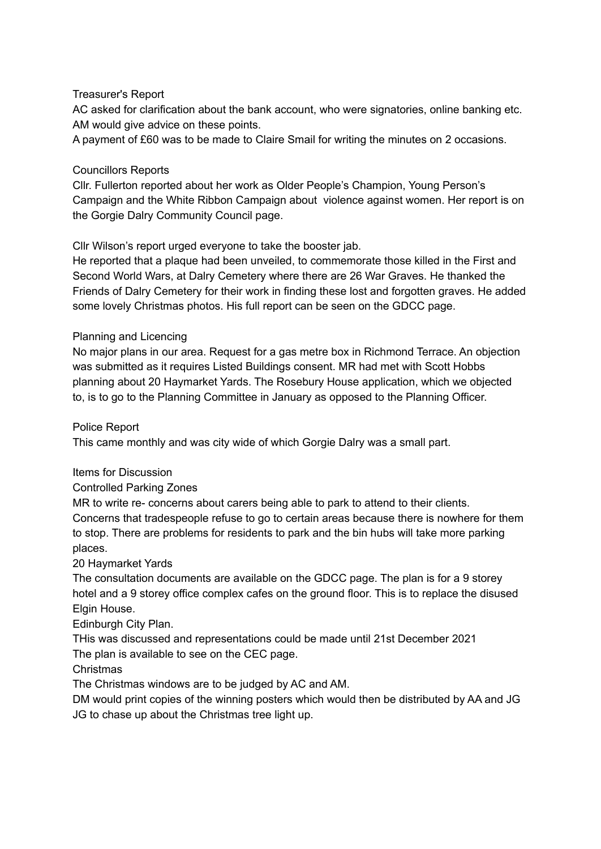## Treasurer's Report

AC asked for clarification about the bank account, who were signatories, online banking etc. AM would give advice on these points.

A payment of £60 was to be made to Claire Smail for writing the minutes on 2 occasions.

#### Councillors Reports

Cllr. Fullerton reported about her work as Older People's Champion, Young Person's Campaign and the White Ribbon Campaign about violence against women. Her report is on the Gorgie Dalry Community Council page.

Cllr Wilson's report urged everyone to take the booster jab.

He reported that a plaque had been unveiled, to commemorate those killed in the First and Second World Wars, at Dalry Cemetery where there are 26 War Graves. He thanked the Friends of Dalry Cemetery for their work in finding these lost and forgotten graves. He added some lovely Christmas photos. His full report can be seen on the GDCC page.

### Planning and Licencing

No major plans in our area. Request for a gas metre box in Richmond Terrace. An objection was submitted as it requires Listed Buildings consent. MR had met with Scott Hobbs planning about 20 Haymarket Yards. The Rosebury House application, which we objected to, is to go to the Planning Committee in January as opposed to the Planning Officer.

Police Report

This came monthly and was city wide of which Gorgie Dalry was a small part.

#### Items for Discussion

Controlled Parking Zones

MR to write re- concerns about carers being able to park to attend to their clients. Concerns that tradespeople refuse to go to certain areas because there is nowhere for them to stop. There are problems for residents to park and the bin hubs will take more parking places.

20 Haymarket Yards

The consultation documents are available on the GDCC page. The plan is for a 9 storey hotel and a 9 storey office complex cafes on the ground floor. This is to replace the disused Elgin House.

Edinburgh City Plan.

THis was discussed and representations could be made until 21st December 2021 The plan is available to see on the CEC page.

Christmas

The Christmas windows are to be judged by AC and AM.

DM would print copies of the winning posters which would then be distributed by AA and JG JG to chase up about the Christmas tree light up.